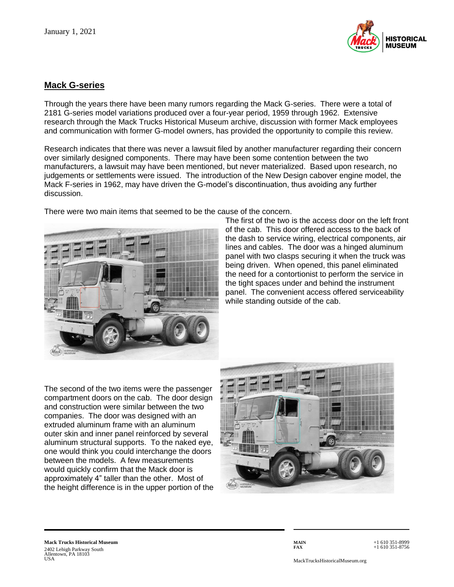

## **Mack G-series**

Through the years there have been many rumors regarding the Mack G-series. There were a total of 2181 G-series model variations produced over a four-year period, 1959 through 1962. Extensive research through the Mack Trucks Historical Museum archive, discussion with former Mack employees and communication with former G-model owners, has provided the opportunity to compile this review.

Research indicates that there was never a lawsuit filed by another manufacturer regarding their concern over similarly designed components. There may have been some contention between the two manufacturers, a lawsuit may have been mentioned, but never materialized. Based upon research, no judgements or settlements were issued. The introduction of the New Design cabover engine model, the Mack F-series in 1962, may have driven the G-model's discontinuation, thus avoiding any further discussion.





The first of the two is the access door on the left front of the cab. This door offered access to the back of the dash to service wiring, electrical components, air lines and cables. The door was a hinged aluminum panel with two clasps securing it when the truck was being driven. When opened, this panel eliminated the need for a contortionist to perform the service in the tight spaces under and behind the instrument panel. The convenient access offered serviceability while standing outside of the cab.

The second of the two items were the passenger compartment doors on the cab. The door design and construction were similar between the two companies. The door was designed with an extruded aluminum frame with an aluminum outer skin and inner panel reinforced by several aluminum structural supports. To the naked eye, one would think you could interchange the doors between the models. A few measurements would quickly confirm that the Mack door is approximately 4" taller than the other. Most of the height difference is in the upper portion of the